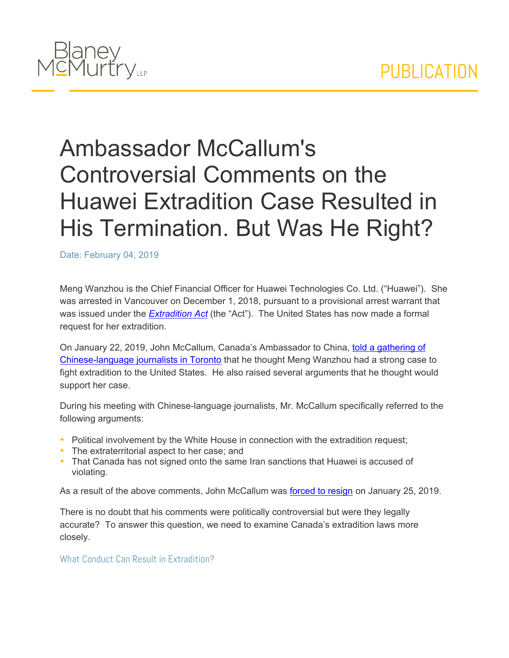

# Ambassador McCallum's Controversial Comments on the Huawei Extradition Case Resulted in His Termination. But Was He Right?

Date: February 04, 2019

Meng Wanzhou is the Chief Financial Officer for Huawei Technologies Co. Ltd. ("Huawei"). She was arrested in Vancouver on December 1, 2018, pursuant to a provisional arrest warrant that was issued under the *[Extradition](https://laws-lois.justice.gc.ca/eng/acts/E-23.01/) [Act](https://laws-lois.justice.gc.ca/eng/acts/E-23.01/)* (the "Act"). The United States has now made a formal request for her extradition.

On January 22, 2019, John McCallum, Canada's Ambassador to China, [told](https://globalnews.ca/news/4877971/john-mccallum-meng-wanzhou-china-huawei/) [a](https://globalnews.ca/news/4877971/john-mccallum-meng-wanzhou-china-huawei/) [gathering](https://globalnews.ca/news/4877971/john-mccallum-meng-wanzhou-china-huawei/) [of](https://globalnews.ca/news/4877971/john-mccallum-meng-wanzhou-china-huawei/) [Chinese-language](https://globalnews.ca/news/4877971/john-mccallum-meng-wanzhou-china-huawei/) [journalists](https://globalnews.ca/news/4877971/john-mccallum-meng-wanzhou-china-huawei/) [in](https://globalnews.ca/news/4877971/john-mccallum-meng-wanzhou-china-huawei/) [Toronto](https://globalnews.ca/news/4877971/john-mccallum-meng-wanzhou-china-huawei/) that he thought Meng Wanzhou had a strong case to fight extradition to the United States. He also raised several arguments that he thought would support her case.

During his meeting with Chinese-language journalists, Mr. McCallum specifically referred to the following arguments:

- Political involvement by the White House in connection with the extradition request;
- The extraterritorial aspect to her case; and
- That Canada has not signed onto the same Iran sanctions that Huawei is accused of violating.

As a result of the above comments, John McCallum was [forced](https://www.cbc.ca/news/politics/mccallum-out-ambassador-1.4994492) [to](https://www.cbc.ca/news/politics/mccallum-out-ambassador-1.4994492) [resign](https://www.cbc.ca/news/politics/mccallum-out-ambassador-1.4994492) on January 25, 2019.

There is no doubt that his comments were politically controversial but were they legally accurate? To answer this question, we need to examine Canada's extradition laws more closely.

What Conduct Can Result in Extradition?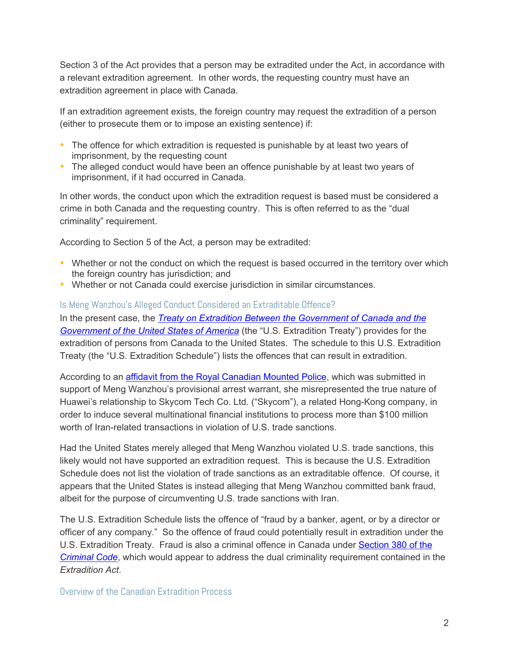Section 3 of the Act provides that a person may be extradited under the Act, in accordance with a relevant extradition agreement. In other words, the requesting country must have an extradition agreement in place with Canada.

If an extradition agreement exists, the foreign country may request the extradition of a person (either to prosecute them or to impose an existing sentence) if:

- The offence for which extradition is requested is punishable by at least two years of imprisonment, by the requesting count
- The alleged conduct would have been an offence punishable by at least two years of imprisonment, if it had occurred in Canada.

In other words, the conduct upon which the extradition request is based must be considered a crime in both Canada and the requesting country. This is often referred to as the "dual criminality" requirement.

According to Section 5 of the Act, a person may be extradited:

- Whether or not the conduct on which the request is based occurred in the territory over which the foreign country has jurisdiction; and
- Whether or not Canada could exercise jurisdiction in similar circumstances.

#### Is Meng Wanzhou's Alleged Conduct Considered an Extraditable Offence?

In the present case, the *[Treaty](https://www.treaty-accord.gc.ca/text-texte.aspx?id=101323) [on](https://www.treaty-accord.gc.ca/text-texte.aspx?id=101323) [Extradition](https://www.treaty-accord.gc.ca/text-texte.aspx?id=101323) [Between](https://www.treaty-accord.gc.ca/text-texte.aspx?id=101323) [the](https://www.treaty-accord.gc.ca/text-texte.aspx?id=101323) [Government](https://www.treaty-accord.gc.ca/text-texte.aspx?id=101323) [of](https://www.treaty-accord.gc.ca/text-texte.aspx?id=101323) [Canada](https://www.treaty-accord.gc.ca/text-texte.aspx?id=101323) [and](https://www.treaty-accord.gc.ca/text-texte.aspx?id=101323) [the](https://www.treaty-accord.gc.ca/text-texte.aspx?id=101323) [Government](https://www.treaty-accord.gc.ca/text-texte.aspx?id=101323) [of](https://www.treaty-accord.gc.ca/text-texte.aspx?id=101323) [the](https://www.treaty-accord.gc.ca/text-texte.aspx?id=101323) [United](https://www.treaty-accord.gc.ca/text-texte.aspx?id=101323) [States](https://www.treaty-accord.gc.ca/text-texte.aspx?id=101323) [of](https://www.treaty-accord.gc.ca/text-texte.aspx?id=101323) [America](https://www.treaty-accord.gc.ca/text-texte.aspx?id=101323)* (the "U.S. Extradition Treaty") provides for the extradition of persons from Canada to the United States. The schedule to this U.S. Extradition Treaty (the "U.S. Extradition Schedule") lists the offences that can result in extradition.

According to an [affidavit](https://www.scribd.com/document/395185754/Surrey-RCMP-Const-Winston-Yep-s-affidavit) [from](https://www.scribd.com/document/395185754/Surrey-RCMP-Const-Winston-Yep-s-affidavit) [the](https://www.scribd.com/document/395185754/Surrey-RCMP-Const-Winston-Yep-s-affidavit) [Royal](https://www.scribd.com/document/395185754/Surrey-RCMP-Const-Winston-Yep-s-affidavit) [Canadian](https://www.scribd.com/document/395185754/Surrey-RCMP-Const-Winston-Yep-s-affidavit) [Mounted](https://www.scribd.com/document/395185754/Surrey-RCMP-Const-Winston-Yep-s-affidavit) [Police](https://www.scribd.com/document/395185754/Surrey-RCMP-Const-Winston-Yep-s-affidavit), which was submitted in support of Meng Wanzhou's provisional arrest warrant, she misrepresented the true nature of Huawei's relationship to Skycom Tech Co. Ltd. ("Skycom"), a related Hong-Kong company, in order to induce several multinational financial institutions to process more than \$100 million worth of Iran-related transactions in violation of U.S. trade sanctions.

Had the United States merely alleged that Meng Wanzhou violated U.S. trade sanctions, this likely would not have supported an extradition request. This is because the U.S. Extradition Schedule does not list the violation of trade sanctions as an extraditable offence. Of course, it appears that the United States is instead alleging that Meng Wanzhou committed bank fraud, albeit for the purpose of circumventing U.S. trade sanctions with Iran.

The U.S. Extradition Schedule lists the offence of "fraud by a banker, agent, or by a director or officer of any company." So the offence of fraud could potentially result in extradition under the U.S. Extradition Treaty. Fraud is also a criminal offence in Canada under [Section](https://laws-lois.justice.gc.ca/eng/acts/C-46/page-83.html#h-106) [380](https://laws-lois.justice.gc.ca/eng/acts/C-46/page-83.html#h-106) [of](https://laws-lois.justice.gc.ca/eng/acts/C-46/page-83.html#h-106) [the](https://laws-lois.justice.gc.ca/eng/acts/C-46/page-83.html#h-106) *[Criminal](https://laws-lois.justice.gc.ca/eng/acts/C-46/page-83.html#h-106) [Code](https://laws-lois.justice.gc.ca/eng/acts/C-46/page-83.html#h-106)*, which would appear to address the dual criminality requirement contained in the *Extradition Act*.

Overview of the Canadian Extradition Process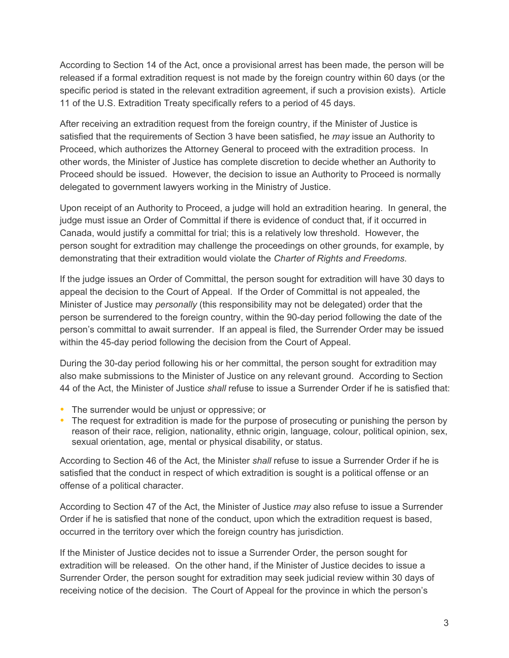According to Section 14 of the Act, once a provisional arrest has been made, the person will be released if a formal extradition request is not made by the foreign country within 60 days (or the specific period is stated in the relevant extradition agreement, if such a provision exists). Article 11 of the U.S. Extradition Treaty specifically refers to a period of 45 days.

After receiving an extradition request from the foreign country, if the Minister of Justice is satisfied that the requirements of Section 3 have been satisfied, he *may* issue an Authority to Proceed, which authorizes the Attorney General to proceed with the extradition process. In other words, the Minister of Justice has complete discretion to decide whether an Authority to Proceed should be issued. However, the decision to issue an Authority to Proceed is normally delegated to government lawyers working in the Ministry of Justice.

Upon receipt of an Authority to Proceed, a judge will hold an extradition hearing. In general, the judge must issue an Order of Committal if there is evidence of conduct that, if it occurred in Canada, would justify a committal for trial; this is a relatively low threshold. However, the person sought for extradition may challenge the proceedings on other grounds, for example, by demonstrating that their extradition would violate the *Charter of Rights and Freedoms*.

If the judge issues an Order of Committal, the person sought for extradition will have 30 days to appeal the decision to the Court of Appeal. If the Order of Committal is not appealed, the Minister of Justice may *personally* (this responsibility may not be delegated) order that the person be surrendered to the foreign country, within the 90-day period following the date of the person's committal to await surrender. If an appeal is filed, the Surrender Order may be issued within the 45-day period following the decision from the Court of Appeal.

During the 30-day period following his or her committal, the person sought for extradition may also make submissions to the Minister of Justice on any relevant ground. According to Section 44 of the Act, the Minister of Justice *shall* refuse to issue a Surrender Order if he is satisfied that:

- The surrender would be unjust or oppressive; or
- The request for extradition is made for the purpose of prosecuting or punishing the person by reason of their race, religion, nationality, ethnic origin, language, colour, political opinion, sex, sexual orientation, age, mental or physical disability, or status.

According to Section 46 of the Act, the Minister *shall* refuse to issue a Surrender Order if he is satisfied that the conduct in respect of which extradition is sought is a political offense or an offense of a political character.

According to Section 47 of the Act, the Minister of Justice *may* also refuse to issue a Surrender Order if he is satisfied that none of the conduct, upon which the extradition request is based, occurred in the territory over which the foreign country has jurisdiction.

If the Minister of Justice decides not to issue a Surrender Order, the person sought for extradition will be released. On the other hand, if the Minister of Justice decides to issue a Surrender Order, the person sought for extradition may seek judicial review within 30 days of receiving notice of the decision. The Court of Appeal for the province in which the person's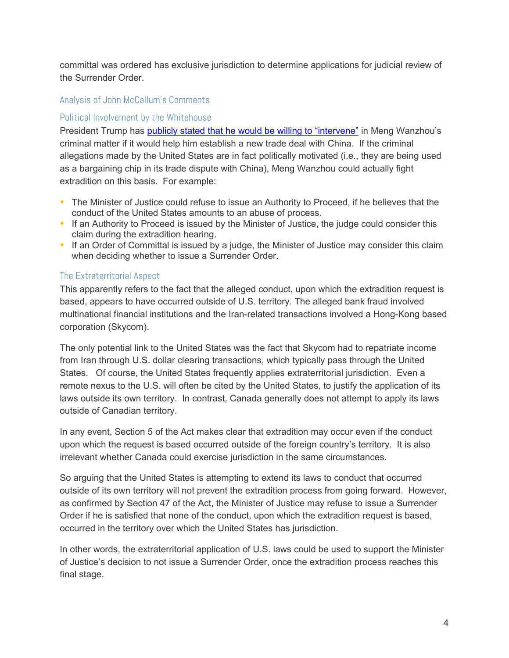committal was ordered has exclusive jurisdiction to determine applications for judicial review of the Surrender Order.

## Analysis of John McCallum's Comments

## Political Involvement by the Whitehouse

President Trump has [publicly](https://globalnews.ca/news/4754297/trump-huawei-canada-arrest/) [stated](https://globalnews.ca/news/4754297/trump-huawei-canada-arrest/) [that](https://globalnews.ca/news/4754297/trump-huawei-canada-arrest/) [he](https://globalnews.ca/news/4754297/trump-huawei-canada-arrest/) [would](https://globalnews.ca/news/4754297/trump-huawei-canada-arrest/) [be](https://globalnews.ca/news/4754297/trump-huawei-canada-arrest/) [willing](https://globalnews.ca/news/4754297/trump-huawei-canada-arrest/) [to](https://globalnews.ca/news/4754297/trump-huawei-canada-arrest/) ["intervene"](https://globalnews.ca/news/4754297/trump-huawei-canada-arrest/) in Meng Wanzhou's criminal matter if it would help him establish a new trade deal with China. If the criminal allegations made by the United States are in fact politically motivated (i.e., they are being used as a bargaining chip in its trade dispute with China), Meng Wanzhou could actually fight extradition on this basis. For example:

- The Minister of Justice could refuse to issue an Authority to Proceed, if he believes that the conduct of the United States amounts to an abuse of process.
- If an Authority to Proceed is issued by the Minister of Justice, the judge could consider this claim during the extradition hearing.
- If an Order of Committal is issued by a judge, the Minister of Justice may consider this claim when deciding whether to issue a Surrender Order.

## The Extraterritorial Aspect

This apparently refers to the fact that the alleged conduct, upon which the extradition request is based, appears to have occurred outside of U.S. territory. The alleged bank fraud involved multinational financial institutions and the Iran-related transactions involved a Hong-Kong based corporation (Skycom).

The only potential link to the United States was the fact that Skycom had to repatriate income from Iran through U.S. dollar clearing transactions, which typically pass through the United States. Of course, the United States frequently applies extraterritorial jurisdiction. Even a remote nexus to the U.S. will often be cited by the United States, to justify the application of its laws outside its own territory. In contrast, Canada generally does not attempt to apply its laws outside of Canadian territory.

In any event, Section 5 of the Act makes clear that extradition may occur even if the conduct upon which the request is based occurred outside of the foreign country's territory. It is also irrelevant whether Canada could exercise jurisdiction in the same circumstances.

So arguing that the United States is attempting to extend its laws to conduct that occurred outside of its own territory will not prevent the extradition process from going forward. However, as confirmed by Section 47 of the Act, the Minister of Justice may refuse to issue a Surrender Order if he is satisfied that none of the conduct, upon which the extradition request is based, occurred in the territory over which the United States has jurisdiction.

In other words, the extraterritorial application of U.S. laws could be used to support the Minister of Justice's decision to not issue a Surrender Order, once the extradition process reaches this final stage.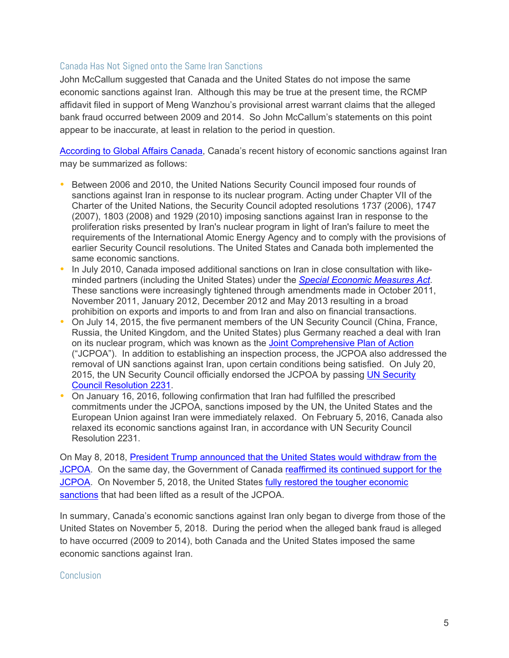### Canada Has Not Signed onto the Same Iran Sanctions

John McCallum suggested that Canada and the United States do not impose the same economic sanctions against Iran. Although this may be true at the present time, the RCMP affidavit filed in support of Meng Wanzhou's provisional arrest warrant claims that the alleged bank fraud occurred between 2009 and 2014. So John McCallum's statements on this point appear to be inaccurate, at least in relation to the period in question.

[According](https://www.international.gc.ca/world-monde/international_relations-relations_internationales/sanctions/iran.aspx?lang=eng) [to](https://www.international.gc.ca/world-monde/international_relations-relations_internationales/sanctions/iran.aspx?lang=eng) [Global](https://www.international.gc.ca/world-monde/international_relations-relations_internationales/sanctions/iran.aspx?lang=eng) [Affairs](https://www.international.gc.ca/world-monde/international_relations-relations_internationales/sanctions/iran.aspx?lang=eng) [Canada,](https://www.international.gc.ca/world-monde/international_relations-relations_internationales/sanctions/iran.aspx?lang=eng) Canada's recent history of economic sanctions against Iran may be summarized as follows:

- Between 2006 and 2010, the United Nations Security Council imposed four rounds of sanctions against Iran in response to its nuclear program. Acting under Chapter VII of the Charter of the United Nations, the Security Council adopted resolutions 1737 (2006), 1747 (2007), 1803 (2008) and 1929 (2010) imposing sanctions against Iran in response to the proliferation risks presented by Iran's nuclear program in light of Iran's failure to meet the requirements of the International Atomic Energy Agency and to comply with the provisions of earlier Security Council resolutions. The United States and Canada both implemented the same economic sanctions.
- In July 2010, Canada imposed additional sanctions on Iran in close consultation with likeminded partners (including the United States) under the *[Special](https://laws-lois.justice.gc.ca/eng/acts/S-14.5/page-1.html) [Economic](https://laws-lois.justice.gc.ca/eng/acts/S-14.5/page-1.html) [Measures](https://laws-lois.justice.gc.ca/eng/acts/S-14.5/page-1.html) [Act](https://laws-lois.justice.gc.ca/eng/acts/S-14.5/page-1.html)*. These sanctions were increasingly tightened through amendments made in October 2011, November 2011, January 2012, December 2012 and May 2013 resulting in a broad prohibition on exports and imports to and from Iran and also on financial transactions.
- On July 14, 2015, the five permanent members of the UN Security Council (China, France, Russia, the United Kingdom, and the United States) plus Germany reached a deal with Iran on its nuclear program, which was known as the [Joint](https://www.treasury.gov/resource-center/sanctions/Programs/Pages/jpoa_archive.aspx) [Comprehensive](https://www.treasury.gov/resource-center/sanctions/Programs/Pages/jpoa_archive.aspx) [Plan](https://www.treasury.gov/resource-center/sanctions/Programs/Pages/jpoa_archive.aspx) [of](https://www.treasury.gov/resource-center/sanctions/Programs/Pages/jpoa_archive.aspx) [Action](https://www.treasury.gov/resource-center/sanctions/Programs/Pages/jpoa_archive.aspx) ("JCPOA"). In addition to establishing an inspection process, the JCPOA also addressed the removal of UN sanctions against Iran, upon certain conditions being satisfied. On July 20, 2015, the UN Security Council officially endorsed the JCPOA by passing [UN](http://unscr.com/en/resolutions/doc/2231) [Security](http://unscr.com/en/resolutions/doc/2231) [Council](http://unscr.com/en/resolutions/doc/2231) [Resolution](http://unscr.com/en/resolutions/doc/2231) [2231.](http://unscr.com/en/resolutions/doc/2231)
- On January 16, 2016, following confirmation that Iran had fulfilled the prescribed commitments under the JCPOA, sanctions imposed by the UN, the United States and the European Union against Iran were immediately relaxed. On February 5, 2016, Canada also relaxed its economic sanctions against Iran, in accordance with UN Security Council Resolution 2231.

On May 8, 2018, [President](https://www.washingtonpost.com/politics/trump-will-announce-plans-to-pull-out-of-iran-nuclear-deal-despite-pleas-from-european-leaders/2018/05/08/4c148252-52ca-11e8-9c91-7dab596e8252_story.html?noredirect=on&utm_term=.0cee06a27664) [Trump](https://www.washingtonpost.com/politics/trump-will-announce-plans-to-pull-out-of-iran-nuclear-deal-despite-pleas-from-european-leaders/2018/05/08/4c148252-52ca-11e8-9c91-7dab596e8252_story.html?noredirect=on&utm_term=.0cee06a27664) [announced](https://www.washingtonpost.com/politics/trump-will-announce-plans-to-pull-out-of-iran-nuclear-deal-despite-pleas-from-european-leaders/2018/05/08/4c148252-52ca-11e8-9c91-7dab596e8252_story.html?noredirect=on&utm_term=.0cee06a27664) [that](https://www.washingtonpost.com/politics/trump-will-announce-plans-to-pull-out-of-iran-nuclear-deal-despite-pleas-from-european-leaders/2018/05/08/4c148252-52ca-11e8-9c91-7dab596e8252_story.html?noredirect=on&utm_term=.0cee06a27664) [the](https://www.washingtonpost.com/politics/trump-will-announce-plans-to-pull-out-of-iran-nuclear-deal-despite-pleas-from-european-leaders/2018/05/08/4c148252-52ca-11e8-9c91-7dab596e8252_story.html?noredirect=on&utm_term=.0cee06a27664) [United](https://www.washingtonpost.com/politics/trump-will-announce-plans-to-pull-out-of-iran-nuclear-deal-despite-pleas-from-european-leaders/2018/05/08/4c148252-52ca-11e8-9c91-7dab596e8252_story.html?noredirect=on&utm_term=.0cee06a27664) [States](https://www.washingtonpost.com/politics/trump-will-announce-plans-to-pull-out-of-iran-nuclear-deal-despite-pleas-from-european-leaders/2018/05/08/4c148252-52ca-11e8-9c91-7dab596e8252_story.html?noredirect=on&utm_term=.0cee06a27664) [would](https://www.washingtonpost.com/politics/trump-will-announce-plans-to-pull-out-of-iran-nuclear-deal-despite-pleas-from-european-leaders/2018/05/08/4c148252-52ca-11e8-9c91-7dab596e8252_story.html?noredirect=on&utm_term=.0cee06a27664) [withdraw](https://www.washingtonpost.com/politics/trump-will-announce-plans-to-pull-out-of-iran-nuclear-deal-despite-pleas-from-european-leaders/2018/05/08/4c148252-52ca-11e8-9c91-7dab596e8252_story.html?noredirect=on&utm_term=.0cee06a27664) [from](https://www.washingtonpost.com/politics/trump-will-announce-plans-to-pull-out-of-iran-nuclear-deal-despite-pleas-from-european-leaders/2018/05/08/4c148252-52ca-11e8-9c91-7dab596e8252_story.html?noredirect=on&utm_term=.0cee06a27664) [the](https://www.washingtonpost.com/politics/trump-will-announce-plans-to-pull-out-of-iran-nuclear-deal-despite-pleas-from-european-leaders/2018/05/08/4c148252-52ca-11e8-9c91-7dab596e8252_story.html?noredirect=on&utm_term=.0cee06a27664) [JCPOA.](https://www.washingtonpost.com/politics/trump-will-announce-plans-to-pull-out-of-iran-nuclear-deal-despite-pleas-from-european-leaders/2018/05/08/4c148252-52ca-11e8-9c91-7dab596e8252_story.html?noredirect=on&utm_term=.0cee06a27664) On the same day, the Government of Canada [reaffirmed](https://www.canada.ca/en/global-affairs/news/2018/05/canada-reaffirms-support-for-joint-comprehensive-plan-of-action-jcpoa.html) [its](https://www.canada.ca/en/global-affairs/news/2018/05/canada-reaffirms-support-for-joint-comprehensive-plan-of-action-jcpoa.html) [continued](https://www.canada.ca/en/global-affairs/news/2018/05/canada-reaffirms-support-for-joint-comprehensive-plan-of-action-jcpoa.html) [support](https://www.canada.ca/en/global-affairs/news/2018/05/canada-reaffirms-support-for-joint-comprehensive-plan-of-action-jcpoa.html) [for](https://www.canada.ca/en/global-affairs/news/2018/05/canada-reaffirms-support-for-joint-comprehensive-plan-of-action-jcpoa.html) [the](https://www.canada.ca/en/global-affairs/news/2018/05/canada-reaffirms-support-for-joint-comprehensive-plan-of-action-jcpoa.html) [JCPOA.](https://www.canada.ca/en/global-affairs/news/2018/05/canada-reaffirms-support-for-joint-comprehensive-plan-of-action-jcpoa.html) On November 5, 2018, the United States [fully](https://www.treasury.gov/resource-center/sanctions/programs/pages/iran.aspx) [restored](https://www.treasury.gov/resource-center/sanctions/programs/pages/iran.aspx) [the](https://www.treasury.gov/resource-center/sanctions/programs/pages/iran.aspx) [tougher](https://www.treasury.gov/resource-center/sanctions/programs/pages/iran.aspx) [economic](https://www.treasury.gov/resource-center/sanctions/programs/pages/iran.aspx) [sanctions](https://www.treasury.gov/resource-center/sanctions/programs/pages/iran.aspx) that had been lifted as a result of the JCPOA.

In summary, Canada's economic sanctions against Iran only began to diverge from those of the United States on November 5, 2018. During the period when the alleged bank fraud is alleged to have occurred (2009 to 2014), both Canada and the United States imposed the same economic sanctions against Iran.

#### Conclusion